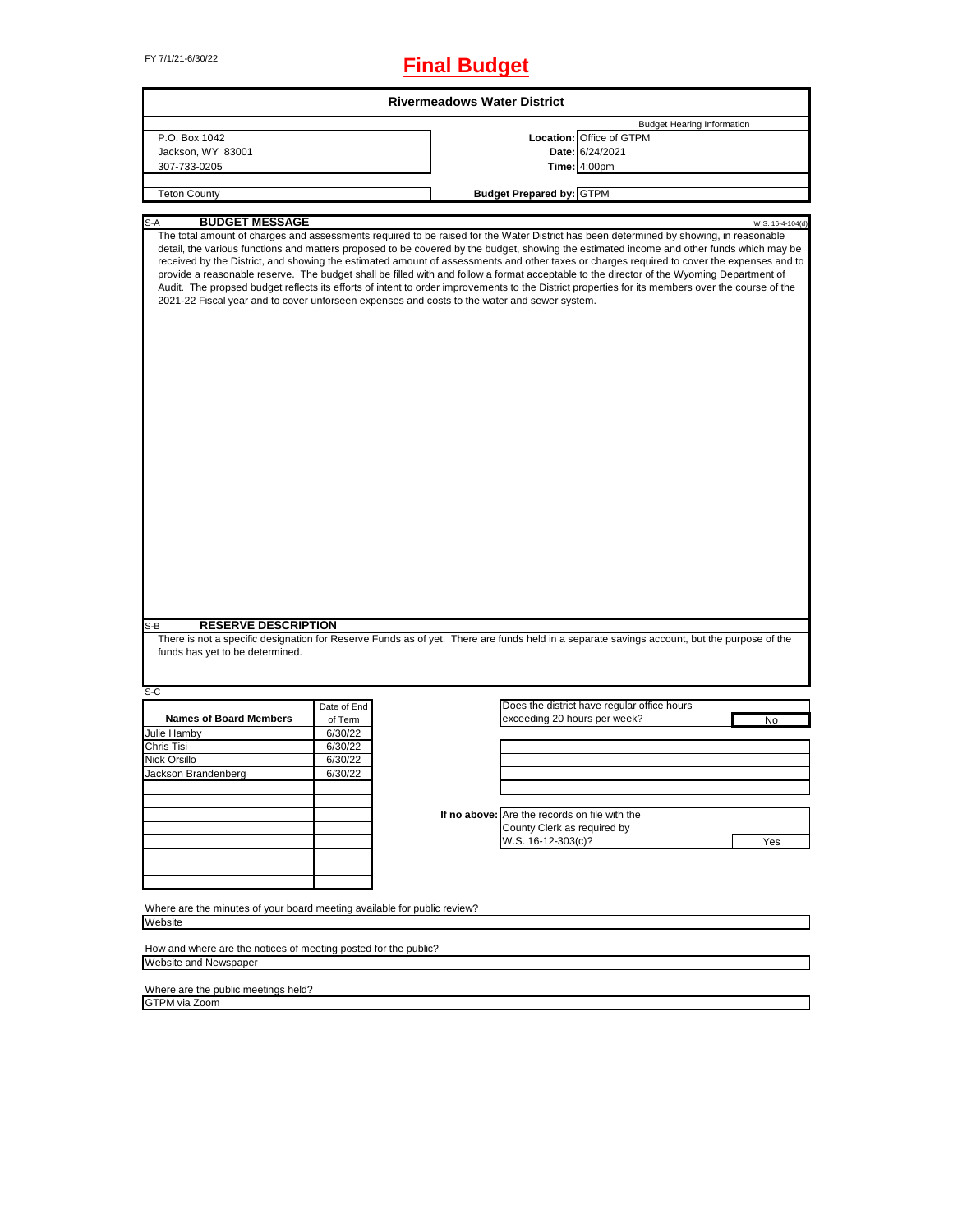# FY 7/1/21-6/30/22 **Final Budget**

|                                                                                     |             | <b>Rivermeadows Water District</b>                                                           |                                                                                                                                                                                                                                                                                                                                                                                                                                                                                                                                                                                                                                                                                                                                    |
|-------------------------------------------------------------------------------------|-------------|----------------------------------------------------------------------------------------------|------------------------------------------------------------------------------------------------------------------------------------------------------------------------------------------------------------------------------------------------------------------------------------------------------------------------------------------------------------------------------------------------------------------------------------------------------------------------------------------------------------------------------------------------------------------------------------------------------------------------------------------------------------------------------------------------------------------------------------|
|                                                                                     |             |                                                                                              | <b>Budget Hearing Information</b>                                                                                                                                                                                                                                                                                                                                                                                                                                                                                                                                                                                                                                                                                                  |
| P.O. Box 1042                                                                       |             |                                                                                              | Location: Office of GTPM                                                                                                                                                                                                                                                                                                                                                                                                                                                                                                                                                                                                                                                                                                           |
| Jackson, WY 83001                                                                   |             |                                                                                              | Date: 6/24/2021                                                                                                                                                                                                                                                                                                                                                                                                                                                                                                                                                                                                                                                                                                                    |
| 307-733-0205                                                                        |             |                                                                                              | Time: 4:00pm                                                                                                                                                                                                                                                                                                                                                                                                                                                                                                                                                                                                                                                                                                                       |
|                                                                                     |             |                                                                                              |                                                                                                                                                                                                                                                                                                                                                                                                                                                                                                                                                                                                                                                                                                                                    |
| <b>Teton County</b>                                                                 |             | <b>Budget Prepared by: GTPM</b>                                                              |                                                                                                                                                                                                                                                                                                                                                                                                                                                                                                                                                                                                                                                                                                                                    |
| <b>BUDGET MESSAGE</b><br>S-A                                                        |             |                                                                                              | W.S. 16-4-104(d)                                                                                                                                                                                                                                                                                                                                                                                                                                                                                                                                                                                                                                                                                                                   |
|                                                                                     |             | 2021-22 Fiscal year and to cover unforseen expenses and costs to the water and sewer system. | The total amount of charges and assessments required to be raised for the Water District has been determined by showing, in reasonable<br>detail, the various functions and matters proposed to be covered by the budget, showing the estimated income and other funds which may be<br>received by the District, and showing the estimated amount of assessments and other taxes or charges required to cover the expenses and to<br>provide a reasonable reserve. The budget shall be filled with and follow a format acceptable to the director of the Wyoming Department of<br>Audit. The propsed budget reflects its efforts of intent to order improvements to the District properties for its members over the course of the |
|                                                                                     |             |                                                                                              |                                                                                                                                                                                                                                                                                                                                                                                                                                                                                                                                                                                                                                                                                                                                    |
| <b>RESERVE DESCRIPTION</b>                                                          |             |                                                                                              |                                                                                                                                                                                                                                                                                                                                                                                                                                                                                                                                                                                                                                                                                                                                    |
| funds has yet to be determined.                                                     | Date of End |                                                                                              | There is not a specific designation for Reserve Funds as of yet. There are funds held in a separate savings account, but the purpose of the<br>Does the district have regular office hours                                                                                                                                                                                                                                                                                                                                                                                                                                                                                                                                         |
| <b>Names of Board Members</b>                                                       | of Term     | exceeding 20 hours per week?                                                                 | No                                                                                                                                                                                                                                                                                                                                                                                                                                                                                                                                                                                                                                                                                                                                 |
|                                                                                     | 6/30/22     |                                                                                              |                                                                                                                                                                                                                                                                                                                                                                                                                                                                                                                                                                                                                                                                                                                                    |
|                                                                                     | 6/30/22     |                                                                                              |                                                                                                                                                                                                                                                                                                                                                                                                                                                                                                                                                                                                                                                                                                                                    |
|                                                                                     | 6/30/22     |                                                                                              |                                                                                                                                                                                                                                                                                                                                                                                                                                                                                                                                                                                                                                                                                                                                    |
|                                                                                     | 6/30/22     |                                                                                              |                                                                                                                                                                                                                                                                                                                                                                                                                                                                                                                                                                                                                                                                                                                                    |
|                                                                                     |             |                                                                                              |                                                                                                                                                                                                                                                                                                                                                                                                                                                                                                                                                                                                                                                                                                                                    |
|                                                                                     |             |                                                                                              |                                                                                                                                                                                                                                                                                                                                                                                                                                                                                                                                                                                                                                                                                                                                    |
|                                                                                     |             | If no above: Are the records on file with the                                                |                                                                                                                                                                                                                                                                                                                                                                                                                                                                                                                                                                                                                                                                                                                                    |
|                                                                                     |             |                                                                                              |                                                                                                                                                                                                                                                                                                                                                                                                                                                                                                                                                                                                                                                                                                                                    |
|                                                                                     |             | County Clerk as required by                                                                  |                                                                                                                                                                                                                                                                                                                                                                                                                                                                                                                                                                                                                                                                                                                                    |
|                                                                                     |             | W.S. 16-12-303(c)?                                                                           | Yes                                                                                                                                                                                                                                                                                                                                                                                                                                                                                                                                                                                                                                                                                                                                |
|                                                                                     |             |                                                                                              |                                                                                                                                                                                                                                                                                                                                                                                                                                                                                                                                                                                                                                                                                                                                    |
| S-B<br>S-C<br>Julie Hamby<br>Chris Tisi<br>Nick Orsillo<br>Jackson Brandenberg      |             |                                                                                              |                                                                                                                                                                                                                                                                                                                                                                                                                                                                                                                                                                                                                                                                                                                                    |
|                                                                                     |             |                                                                                              |                                                                                                                                                                                                                                                                                                                                                                                                                                                                                                                                                                                                                                                                                                                                    |
|                                                                                     |             |                                                                                              |                                                                                                                                                                                                                                                                                                                                                                                                                                                                                                                                                                                                                                                                                                                                    |
|                                                                                     |             |                                                                                              |                                                                                                                                                                                                                                                                                                                                                                                                                                                                                                                                                                                                                                                                                                                                    |
| Where are the minutes of your board meeting available for public review?<br>Website |             |                                                                                              |                                                                                                                                                                                                                                                                                                                                                                                                                                                                                                                                                                                                                                                                                                                                    |

How and where are the notices of meeting posted for the public? Website and Newspaper

Where are the public meetings held? GTPM via Zoom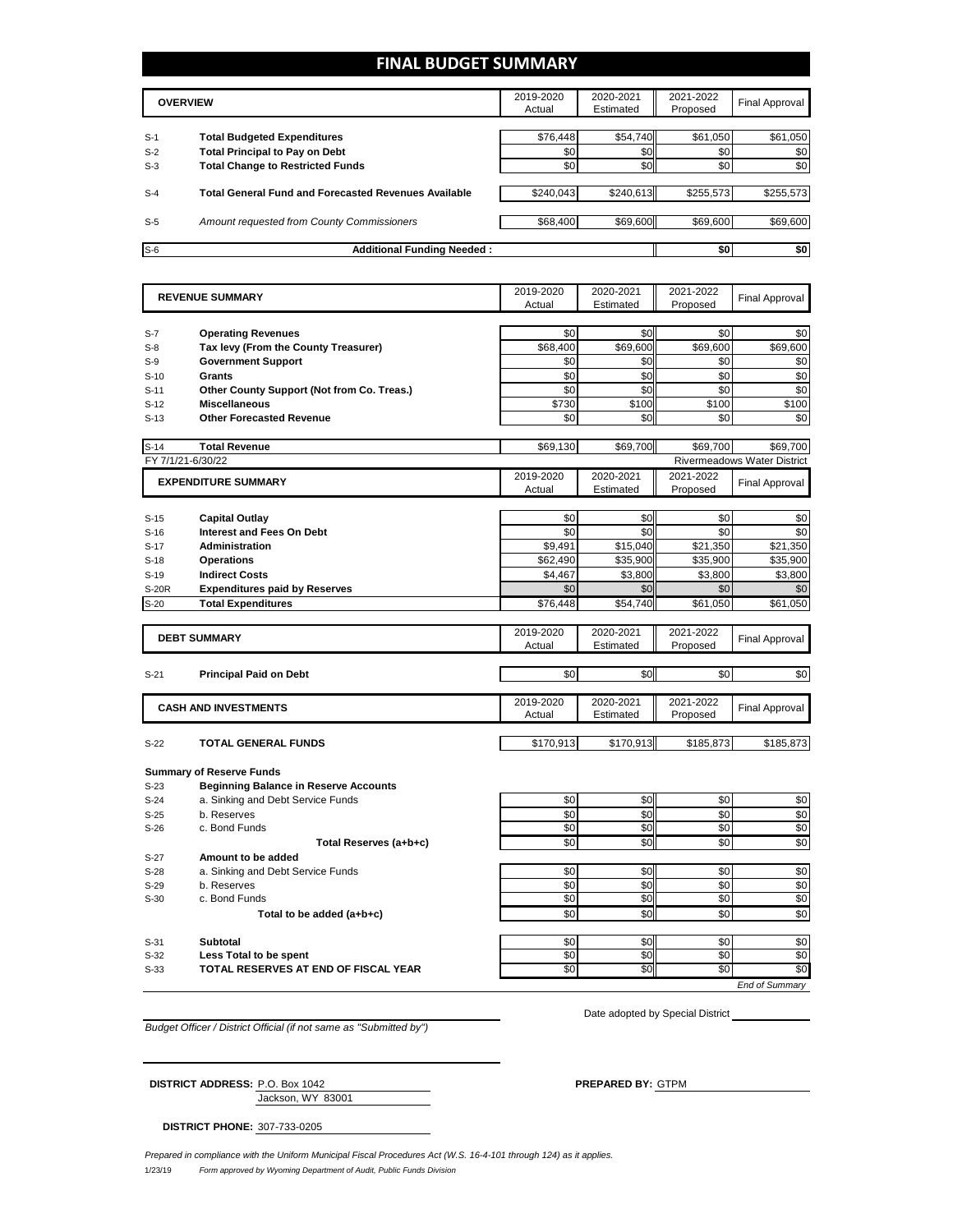#### **FINAL BUDGET SUMMARY**

|       | <b>OVERVIEW</b>                                             | 2019-2020<br>Actual | 2020-2021<br>Estimated | 2021-2022<br>Proposed | Final Approval |
|-------|-------------------------------------------------------------|---------------------|------------------------|-----------------------|----------------|
| $S-1$ | <b>Total Budgeted Expenditures</b>                          | \$76,448            | \$54,740               | \$61,050              | \$61,050       |
| $S-2$ | <b>Total Principal to Pay on Debt</b>                       | \$0                 | \$0 <sub>1</sub>       | \$0                   | \$0            |
| $S-3$ | <b>Total Change to Restricted Funds</b>                     | \$0                 | \$0                    | \$0                   | \$0            |
| $S-4$ | <b>Total General Fund and Forecasted Revenues Available</b> | \$240.043           | \$240.613              | \$255,573             | \$255,573      |
| $S-5$ | Amount requested from County Commissioners                  | \$68,400            | \$69,600               | \$69,600              | \$69,600       |
| $S-6$ | <b>Additional Funding Needed:</b>                           |                     |                        | \$0                   | \$0            |

|        | <b>REVENUE SUMMARY</b>                       | 2019-2020 | 2020-2021       | 2021-2022       | <b>Final Approval</b>              |
|--------|----------------------------------------------|-----------|-----------------|-----------------|------------------------------------|
|        |                                              | Actual    | Estimated       | Proposed        |                                    |
| $S-7$  | <b>Operating Revenues</b>                    | \$0       | \$0             | \$0             | \$0                                |
| $S-8$  | Tax levy (From the County Treasurer)         | \$68,400  | \$69,600        | \$69,600        | \$69,600                           |
| $S-9$  | <b>Government Support</b>                    | \$0       | \$0             | \$0             | \$0                                |
| $S-10$ | Grants                                       | \$0       | \$0             | \$0             | \$0                                |
| $S-11$ | Other County Support (Not from Co. Treas.)   | \$0       | \$0             | \$0             | \$0                                |
| $S-12$ | <b>Miscellaneous</b>                         | \$730     | \$100           | \$100           | \$100                              |
| $S-13$ | <b>Other Forecasted Revenue</b>              | \$0       | \$0             | \$0             | \$0                                |
|        |                                              |           |                 |                 |                                    |
| $S-14$ | <b>Total Revenue</b>                         | \$69,130  | \$69,700        | \$69,700        | \$69,700                           |
|        | FY 7/1/21-6/30/22                            |           |                 |                 | <b>Rivermeadows Water District</b> |
|        | <b>EXPENDITURE SUMMARY</b>                   | 2019-2020 | 2020-2021       | 2021-2022       | <b>Final Approval</b>              |
|        |                                              | Actual    | Estimated       | Proposed        |                                    |
|        |                                              |           |                 |                 |                                    |
| $S-15$ | <b>Capital Outlay</b>                        | \$0       | \$0             | \$0             | \$0                                |
| $S-16$ | <b>Interest and Fees On Debt</b>             | \$0       | \$0             | \$0             | \$0                                |
| $S-17$ | <b>Administration</b>                        | \$9,491   | \$15,040        | \$21,350        | \$21,350                           |
| $S-18$ | <b>Operations</b>                            | \$62,490  | \$35,900        | \$35,900        | \$35,900                           |
| $S-19$ | <b>Indirect Costs</b>                        | \$4,467   | \$3,800         | \$3,800         | \$3,800                            |
| S-20R  | <b>Expenditures paid by Reserves</b>         | \$0       | \$0             | \$0             | \$0                                |
| $S-20$ | <b>Total Expenditures</b>                    | \$76,448  | \$54,740        | \$61,050        | \$61,050                           |
|        |                                              | 2019-2020 | 2020-2021       | 2021-2022       |                                    |
|        | <b>DEBT SUMMARY</b>                          | Actual    | Estimated       | Proposed        | <b>Final Approval</b>              |
|        |                                              |           |                 |                 |                                    |
| $S-21$ | <b>Principal Paid on Debt</b>                | \$0       | \$0             | \$0             | \$0                                |
|        |                                              |           |                 |                 |                                    |
|        | <b>CASH AND INVESTMENTS</b>                  | 2019-2020 | 2020-2021       | 2021-2022       | <b>Final Approval</b>              |
|        |                                              | Actual    | Estimated       | Proposed        |                                    |
| $S-22$ | <b>TOTAL GENERAL FUNDS</b>                   | \$170,913 | \$170,913       | \$185.873       | \$185,873                          |
|        |                                              |           |                 |                 |                                    |
|        | <b>Summary of Reserve Funds</b>              |           |                 |                 |                                    |
| $S-23$ | <b>Beginning Balance in Reserve Accounts</b> |           |                 |                 |                                    |
| $S-24$ | a. Sinking and Debt Service Funds            | \$0       | \$0             | \$0             | \$0                                |
| $S-25$ | b. Reserves                                  | \$0       | \$0             | \$0             | \$0                                |
| $S-26$ | c. Bond Funds                                | \$0       | \$0             | \$0             | \$0                                |
|        | Total Reserves (a+b+c)                       | \$0       | \$0             | \$0             | \$0                                |
| $S-27$ | Amount to be added                           |           |                 |                 |                                    |
| $S-28$ | a. Sinking and Debt Service Funds            | \$0       | \$0             | \$0             | \$0                                |
| $S-29$ | b. Reserves                                  | \$0       | \$0             | \$0             | \$0                                |
| $S-30$ | c. Bond Funds                                | \$0       | \$0             | \$0             | \$0                                |
|        | Total to be added (a+b+c)                    | \$0       | \$0             | \$0             | \$0                                |
|        |                                              |           |                 |                 |                                    |
| $S-31$ | <b>Subtotal</b>                              | \$0       | \$0             | \$0             | \$0                                |
| $S-32$ | Less Total to be spent                       | \$0       | \$0             | \$0             | \$0                                |
| $S-33$ | TOTAL RESERVES AT END OF FISCAL YEAR         | \$0       | $\overline{50}$ | $\overline{50}$ | \$0                                |
|        |                                              |           |                 |                 | End of Summarv                     |

*Budget Officer / District Official (if not same as "Submitted by")*

Date adopted by Special District

Jackson, WY 83001 **DISTRICT ADDRESS:** P.O. Box 1042 **PREPARED BY:** GTPM

**DISTRICT PHONE:** 307-733-0205

1/23/19 *Form approved by Wyoming Department of Audit, Public Funds Division Prepared in compliance with the Uniform Municipal Fiscal Procedures Act (W.S. 16-4-101 through 124) as it applies.*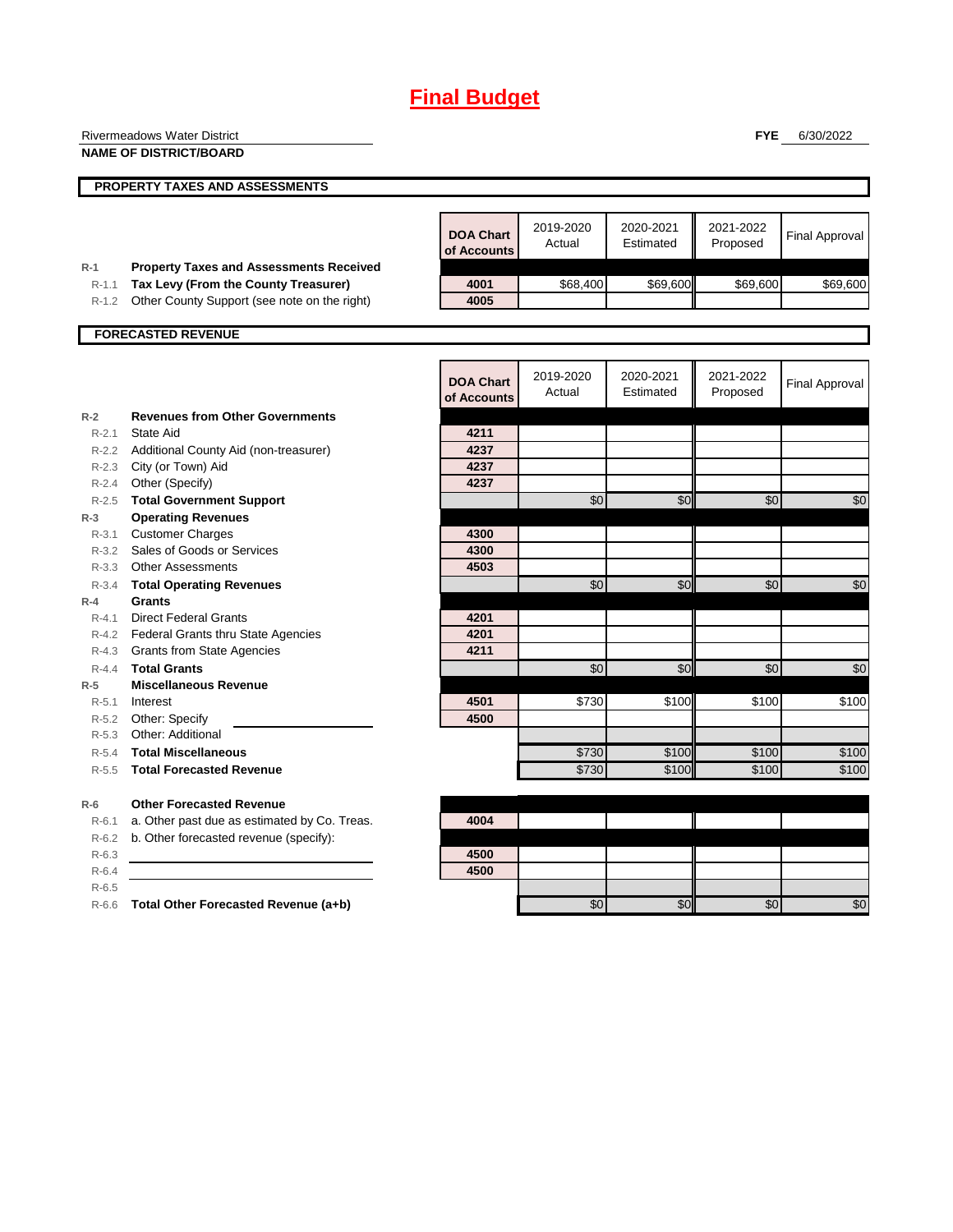|           | Rivermeadows Water District                    |                  |           |           | <b>FYE</b> | 6/30/2022             |
|-----------|------------------------------------------------|------------------|-----------|-----------|------------|-----------------------|
|           | <b>NAME OF DISTRICT/BOARD</b>                  |                  |           |           |            |                       |
|           |                                                |                  |           |           |            |                       |
|           | PROPERTY TAXES AND ASSESSMENTS                 |                  |           |           |            |                       |
|           |                                                |                  |           |           |            |                       |
|           |                                                |                  | 2019-2020 | 2020-2021 | 2021-2022  |                       |
|           |                                                | <b>DOA Chart</b> | Actual    | Estimated | Proposed   | <b>Final Approval</b> |
|           |                                                | of Accounts      |           |           |            |                       |
| $R-1$     | <b>Property Taxes and Assessments Received</b> |                  |           |           |            |                       |
| $R-1.1$   | Tax Levy (From the County Treasurer)           | 4001             | \$68,400  | \$69,600  | \$69,600   | \$69,600              |
| $R-1.2$   | Other County Support (see note on the right)   | 4005             |           |           |            |                       |
|           |                                                |                  |           |           |            |                       |
|           | <b>FORECASTED REVENUE</b>                      |                  |           |           |            |                       |
|           |                                                |                  |           |           |            |                       |
|           |                                                | <b>DOA Chart</b> | 2019-2020 | 2020-2021 | 2021-2022  | <b>Final Approval</b> |
|           |                                                | of Accounts      | Actual    | Estimated | Proposed   |                       |
| $R-2$     | <b>Revenues from Other Governments</b>         |                  |           |           |            |                       |
| $R - 2.1$ | <b>State Aid</b>                               | 4211             |           |           |            |                       |
| $R - 2.2$ | Additional County Aid (non-treasurer)          | 4237             |           |           |            |                       |
| R-2.3     | City (or Town) Aid                             | 4237             |           |           |            |                       |
| $R - 2.4$ | Other (Specify)                                | 4237             |           |           |            |                       |
| R-2.5     | <b>Total Government Support</b>                |                  | \$0       | \$0       | \$0        | \$0                   |
| $R-3$     | <b>Operating Revenues</b>                      |                  |           |           |            |                       |
| R-3.1     | <b>Customer Charges</b>                        | 4300             |           |           |            |                       |
| $R - 3.2$ | Sales of Goods or Services                     | 4300             |           |           |            |                       |
| $R - 3.3$ | <b>Other Assessments</b>                       | 4503             |           |           |            |                       |
| R-3.4     | <b>Total Operating Revenues</b>                |                  | \$0       | \$0       | \$0        | \$0                   |
| $R-4$     | Grants                                         |                  |           |           |            |                       |
| $R - 4.1$ | <b>Direct Federal Grants</b>                   | 4201             |           |           |            |                       |
| R-4.2     | <b>Federal Grants thru State Agencies</b>      | 4201             |           |           |            |                       |
| R-4.3     | <b>Grants from State Agencies</b>              | 4211             |           |           |            |                       |
| R-4.4     | <b>Total Grants</b>                            |                  | \$0       | \$0       | \$0        | $\overline{60}$       |
| $R-5$     | <b>Miscellaneous Revenue</b>                   |                  |           |           |            |                       |
| R-5.1     | Interest                                       | 4501             | \$730     | \$100     | \$100      | \$100                 |
| R-5.2     | Other: Specify                                 | 4500             |           |           |            |                       |
| $R - 5.3$ | Other: Additional                              |                  |           |           |            |                       |
| R-5.4     | <b>Total Miscellaneous</b>                     |                  | \$730     | \$100     | \$100      | \$100                 |
| $R - 5.5$ | <b>Total Forecasted Revenue</b>                |                  | \$730     | \$100     | \$100      | \$100                 |
| $R-6$     | <b>Other Forecasted Revenue</b>                |                  |           |           |            |                       |
| $R-6.1$   | a. Other past due as estimated by Co. Treas.   | 4004             |           |           |            |                       |
| R-6.2     | b. Other forecasted revenue (specify):         |                  |           |           |            |                       |
| $R-6.3$   |                                                | 4500             |           |           |            |                       |
| $R-6.4$   |                                                | 4500             |           |           |            |                       |
| $R-6.5$   |                                                |                  |           |           |            |                       |
|           | R-6.6 Total Other Forecasted Revenue (a+b)     |                  | \$0       | \$0       | \$0        | \$0                   |
|           |                                                |                  |           |           |            |                       |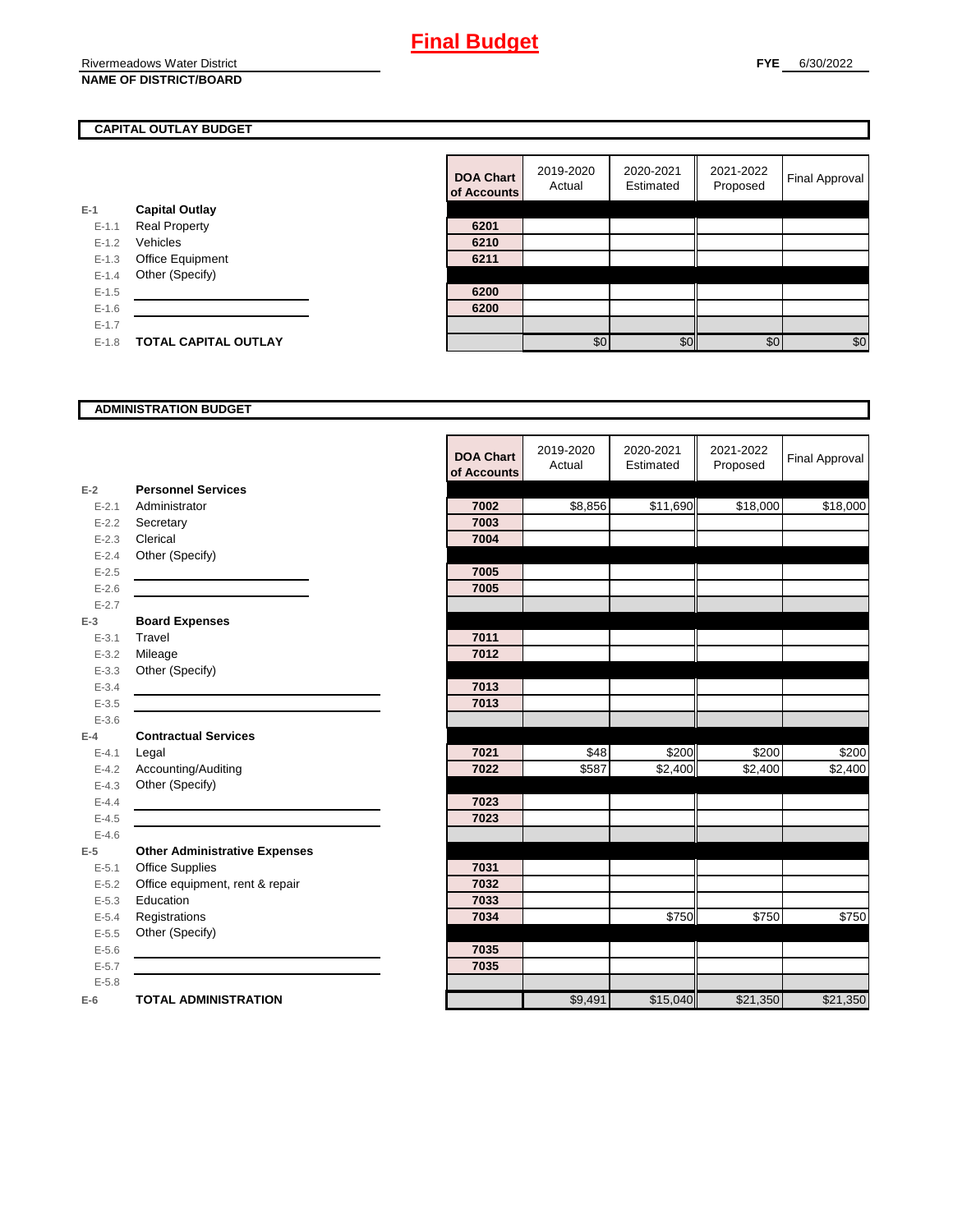#### **CAPITAL OUTLAY BUDGET**

|           |                             | vi nuuv |
|-----------|-----------------------------|---------|
| E-1       | <b>Capital Outlay</b>       |         |
| $E - 1.1$ | <b>Real Property</b>        | 6201    |
| $E - 1.2$ | Vehicles                    | 6210    |
| $E - 1.3$ | Office Equipment            | 6211    |
| $E - 1.4$ | Other (Specify)             |         |
| $E - 1.5$ |                             | 6200    |
| $E-1.6$   |                             | 6200    |
| $E-1.7$   |                             |         |
| $E - 1.8$ | <b>TOTAL CAPITAL OUTLAY</b> |         |
|           |                             |         |

| <b>DOA Chart</b><br>of Accounts | 2019-2020<br>Actual | 2020-2021<br>Estimated | 2021-2022<br>Proposed | <b>Final Approval</b> |
|---------------------------------|---------------------|------------------------|-----------------------|-----------------------|
|                                 |                     |                        |                       |                       |
| 6201                            |                     |                        |                       |                       |
| 6210                            |                     |                        |                       |                       |
| 6211                            |                     |                        |                       |                       |
|                                 |                     |                        |                       |                       |
| 6200                            |                     |                        |                       |                       |
| 6200                            |                     |                        |                       |                       |
|                                 |                     |                        |                       |                       |
|                                 | \$0                 | ፍ≀                     | \$0                   | \$0                   |

#### **ADMINISTRATION BUDGET**

|           |                                      | <b>DOA Chart</b><br>of Accounts | 2019-2020<br>Actual | 2020-2021<br>Estimated | 2021-2022<br>Proposed | <b>Final Approval</b> |
|-----------|--------------------------------------|---------------------------------|---------------------|------------------------|-----------------------|-----------------------|
| $E-2$     | <b>Personnel Services</b>            |                                 |                     |                        |                       |                       |
| $E - 2.1$ | Administrator                        | 7002                            | \$8,856             | \$11,690               | \$18,000              | \$18,000              |
| $E - 2.2$ | Secretary                            | 7003                            |                     |                        |                       |                       |
| $E - 2.3$ | Clerical                             | 7004                            |                     |                        |                       |                       |
| $E - 2.4$ | Other (Specify)                      |                                 |                     |                        |                       |                       |
| $E-2.5$   |                                      | 7005                            |                     |                        |                       |                       |
| $E - 2.6$ |                                      | 7005                            |                     |                        |                       |                       |
| $E - 2.7$ |                                      |                                 |                     |                        |                       |                       |
| $E-3$     | <b>Board Expenses</b>                |                                 |                     |                        |                       |                       |
| $E - 3.1$ | Travel                               | 7011                            |                     |                        |                       |                       |
| $E - 3.2$ | Mileage                              | 7012                            |                     |                        |                       |                       |
| $E - 3.3$ | Other (Specify)                      |                                 |                     |                        |                       |                       |
| $E - 3.4$ |                                      | 7013                            |                     |                        |                       |                       |
| $E - 3.5$ |                                      | 7013                            |                     |                        |                       |                       |
| $E - 3.6$ |                                      |                                 |                     |                        |                       |                       |
| $E-4$     | <b>Contractual Services</b>          |                                 |                     |                        |                       |                       |
| $E - 4.1$ | Legal                                | 7021                            | \$48                | \$200                  | \$200                 | \$200                 |
| $E - 4.2$ | Accounting/Auditing                  | 7022                            | \$587               | $\overline{$2,400}$    | $\overline{$2,400}$   | $\overline{$}2,400$   |
| $E - 4.3$ | Other (Specify)                      |                                 |                     |                        |                       |                       |
| $E - 4.4$ |                                      | 7023                            |                     |                        |                       |                       |
| $E-4.5$   |                                      | 7023                            |                     |                        |                       |                       |
| $E-4.6$   |                                      |                                 |                     |                        |                       |                       |
| $E-5$     | <b>Other Administrative Expenses</b> |                                 |                     |                        |                       |                       |
| $E - 5.1$ | <b>Office Supplies</b>               | 7031                            |                     |                        |                       |                       |
| $E - 5.2$ | Office equipment, rent & repair      | 7032                            |                     |                        |                       |                       |
| $E - 5.3$ | Education                            | 7033                            |                     |                        |                       |                       |
| $E - 5.4$ | Registrations                        | 7034                            |                     | \$750                  | \$750                 | \$750                 |
| $E - 5.5$ | Other (Specify)                      |                                 |                     |                        |                       |                       |
| $E - 5.6$ |                                      | 7035                            |                     |                        |                       |                       |
| $E - 5.7$ |                                      | 7035                            |                     |                        |                       |                       |
| $E - 5.8$ |                                      |                                 |                     |                        |                       |                       |
| $E-6$     | <b>TOTAL ADMINISTRATION</b>          |                                 | \$9,491             | \$15,040               | \$21,350              | \$21,350              |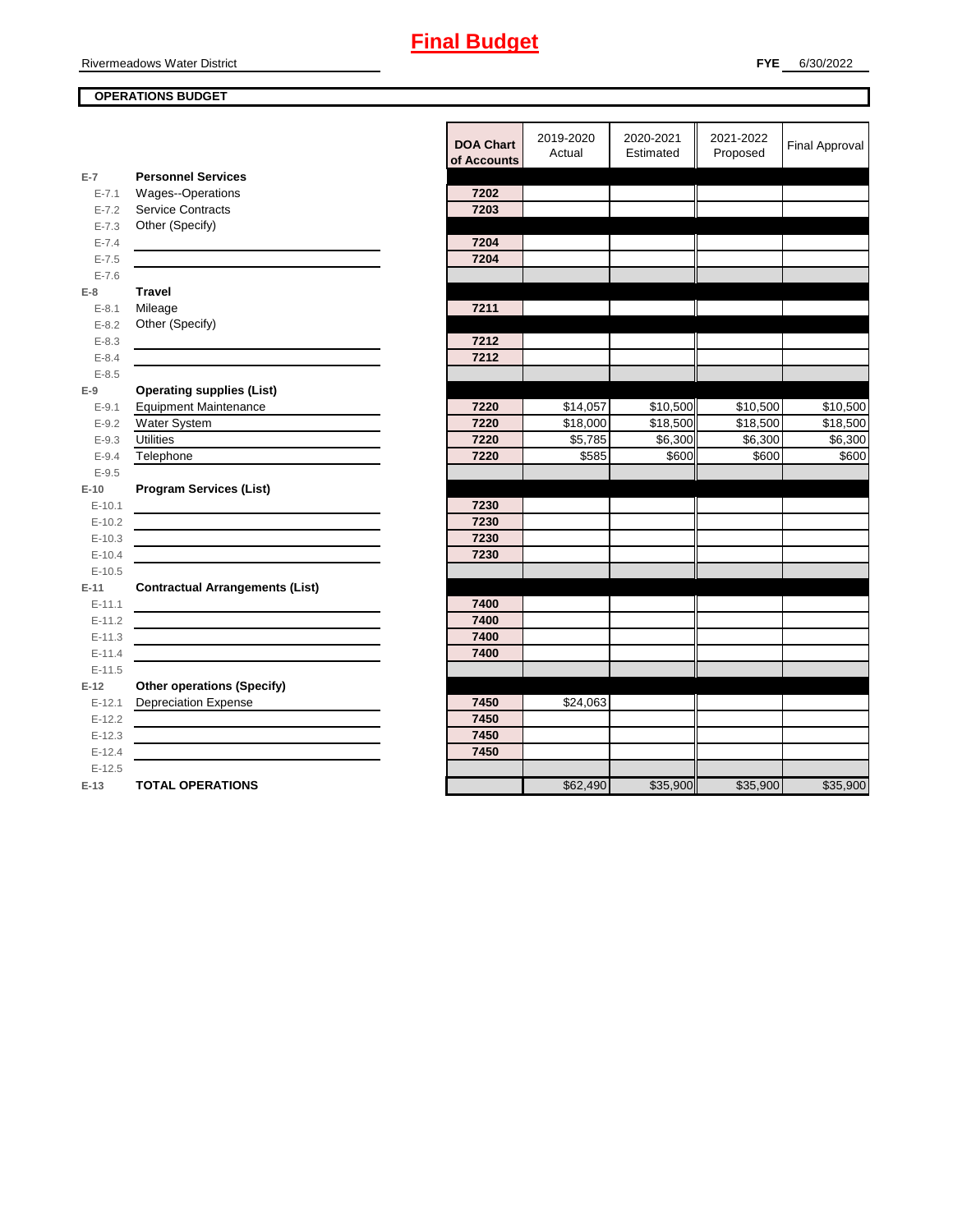Rivermeadows Water District

#### **OPERATIONS BUDGET**

|           |                                        | <b>DOA Chart</b><br>of Accounts | 2019-2020<br>Actual | 2020-2021<br>Estimated | 2021-2022<br>Proposed | <b>Final Approval</b> |
|-----------|----------------------------------------|---------------------------------|---------------------|------------------------|-----------------------|-----------------------|
| $E-7$     | <b>Personnel Services</b>              |                                 |                     |                        |                       |                       |
| $E - 7.1$ | Wages--Operations                      | 7202                            |                     |                        |                       |                       |
| $E - 7.2$ | <b>Service Contracts</b>               | 7203                            |                     |                        |                       |                       |
| $E - 7.3$ | Other (Specify)                        |                                 |                     |                        |                       |                       |
| $E - 7.4$ |                                        | 7204                            |                     |                        |                       |                       |
| $E - 7.5$ |                                        | 7204                            |                     |                        |                       |                       |
| $E - 7.6$ |                                        |                                 |                     |                        |                       |                       |
| $E-8$     | <b>Travel</b>                          |                                 |                     |                        |                       |                       |
| $E - 8.1$ | Mileage                                | 7211                            |                     |                        |                       |                       |
| $E - 8.2$ | Other (Specify)                        |                                 |                     |                        |                       |                       |
| $E - 8.3$ |                                        | 7212                            |                     |                        |                       |                       |
| $E - 8.4$ |                                        | 7212                            |                     |                        |                       |                       |
| $E - 8.5$ |                                        |                                 |                     |                        |                       |                       |
| $E-9$     | <b>Operating supplies (List)</b>       |                                 |                     |                        |                       |                       |
| $E-9.1$   | <b>Equipment Maintenance</b>           | 7220                            | \$14,057            | \$10,500               | \$10,500              | \$10,500              |
| $E - 9.2$ | Water System                           | 7220                            | \$18,000            | \$18,500               | \$18,500              | \$18,500              |
| $E - 9.3$ | <b>Utilities</b>                       | 7220                            | \$5,785             | \$6,300                | \$6,300               | \$6,300               |
| $E - 9.4$ | Telephone                              | 7220                            | \$585               | \$600                  | \$600                 | \$600                 |
| $E - 9.5$ |                                        |                                 |                     |                        |                       |                       |
| $E-10$    | <b>Program Services (List)</b>         |                                 |                     |                        |                       |                       |
| $E-10.1$  |                                        | 7230                            |                     |                        |                       |                       |
| $E-10.2$  |                                        | 7230                            |                     |                        |                       |                       |
| $E-10.3$  |                                        | 7230                            |                     |                        |                       |                       |
| $E-10.4$  |                                        | 7230                            |                     |                        |                       |                       |
| $E-10.5$  |                                        |                                 |                     |                        |                       |                       |
| $E-11$    | <b>Contractual Arrangements (List)</b> |                                 |                     |                        |                       |                       |
| $E-11.1$  |                                        | 7400                            |                     |                        |                       |                       |
| $E-11.2$  |                                        | 7400                            |                     |                        |                       |                       |
| $E-11.3$  |                                        | 7400                            |                     |                        |                       |                       |
| $E-11.4$  |                                        | 7400                            |                     |                        |                       |                       |
| $E-11.5$  |                                        |                                 |                     |                        |                       |                       |
| $E-12$    | <b>Other operations (Specify)</b>      |                                 |                     |                        |                       |                       |
| $E-12.1$  | <b>Depreciation Expense</b>            | 7450                            | \$24,063            |                        |                       |                       |
| $E-12.2$  |                                        | 7450                            |                     |                        |                       |                       |
| $E-12.3$  |                                        | 7450                            |                     |                        |                       |                       |
| $E-12.4$  |                                        | 7450                            |                     |                        |                       |                       |
| $E-12.5$  |                                        |                                 |                     |                        |                       |                       |
| $E-13$    | <b>TOTAL OPERATIONS</b>                |                                 | \$62,490            | \$35,900               | \$35,900              | \$35,900              |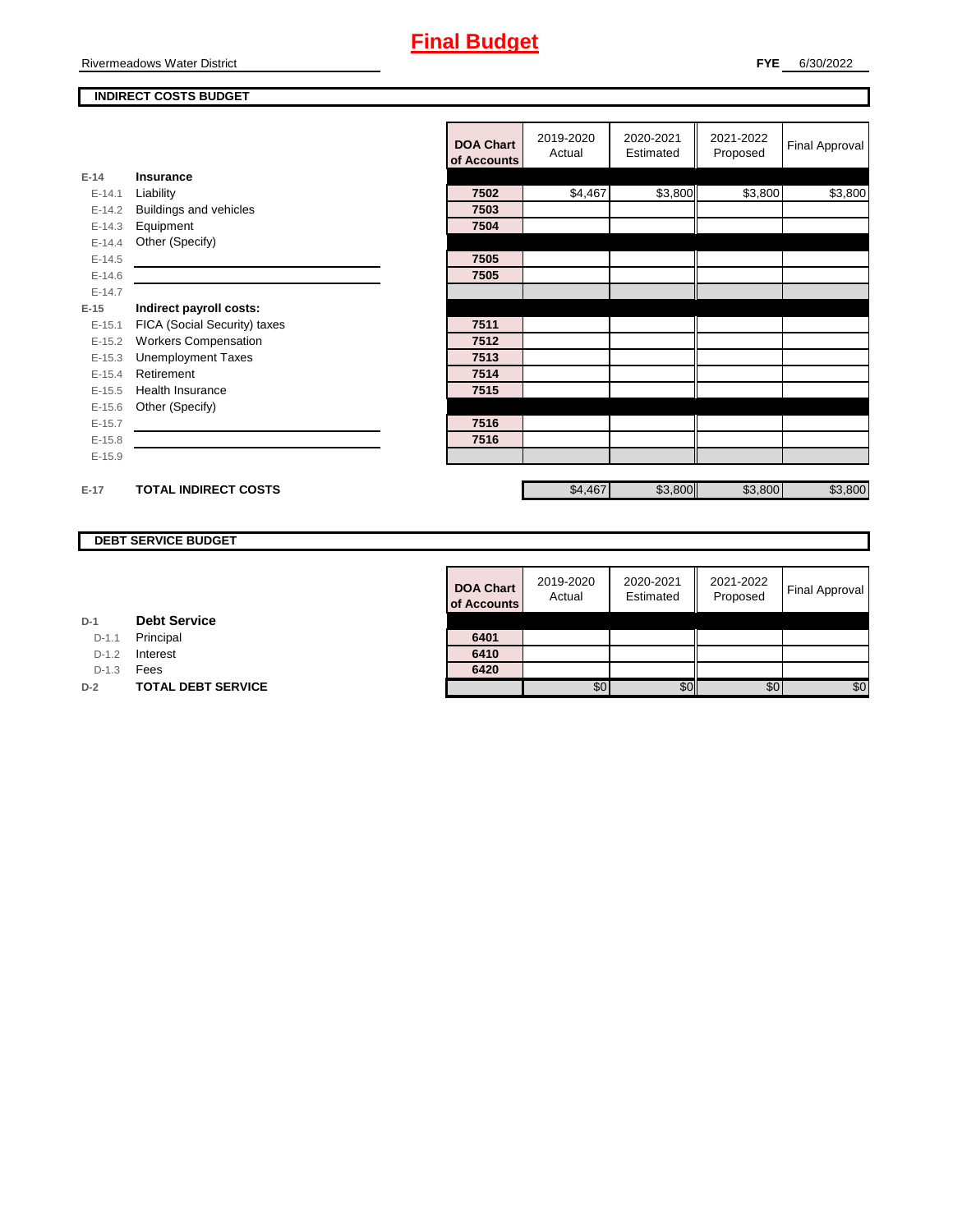Rivermeadows Water District

#### **INDIRECT COSTS BUDGET**

|          |                               | <b>DOA Chart</b><br>of Accounts | 2019-2020<br>Actual | 2020-2021<br>Estimated | 2021-2022<br>Proposed | <b>Final Approval</b> |
|----------|-------------------------------|---------------------------------|---------------------|------------------------|-----------------------|-----------------------|
| $E-14$   | <b>Insurance</b>              |                                 |                     |                        |                       |                       |
| $E-14.1$ | Liability                     | 7502                            | \$4,467             | \$3,800                | \$3,800               | \$3,800               |
| $E-14.2$ | <b>Buildings and vehicles</b> | 7503                            |                     |                        |                       |                       |
| $E-14.3$ | Equipment                     | 7504                            |                     |                        |                       |                       |
| $E-14.4$ | Other (Specify)               |                                 |                     |                        |                       |                       |
| $E-14.5$ |                               | 7505                            |                     |                        |                       |                       |
| $E-14.6$ |                               | 7505                            |                     |                        |                       |                       |
| $E-14.7$ |                               |                                 |                     |                        |                       |                       |
| $E-15$   | Indirect payroll costs:       |                                 |                     |                        |                       |                       |
| $E-15.1$ | FICA (Social Security) taxes  | 7511                            |                     |                        |                       |                       |
| $E-15.2$ | <b>Workers Compensation</b>   | 7512                            |                     |                        |                       |                       |
| $E-15.3$ | <b>Unemployment Taxes</b>     | 7513                            |                     |                        |                       |                       |
| $E-15.4$ | Retirement                    | 7514                            |                     |                        |                       |                       |
| $E-15.5$ | <b>Health Insurance</b>       | 7515                            |                     |                        |                       |                       |
| $E-15.6$ | Other (Specify)               |                                 |                     |                        |                       |                       |
| $E-15.7$ |                               | 7516                            |                     |                        |                       |                       |
| $E-15.8$ |                               | 7516                            |                     |                        |                       |                       |
| $E-15.9$ |                               |                                 |                     |                        |                       |                       |
|          |                               |                                 |                     |                        |                       |                       |
| $E-17$   | <b>TOTAL INDIRECT COSTS</b>   |                                 | \$4,467             | \$3,800                | \$3,800               | \$3,800               |

#### **DEBT SERVICE BUDGET**

| <b>DOA Chart</b><br>of Accounts | 2019-2020<br>Actual | 2020-2021<br>Estimated | 2021-2022<br>Proposed | Final Approval |
|---------------------------------|---------------------|------------------------|-----------------------|----------------|
|                                 |                     |                        |                       |                |
| 6401                            |                     |                        |                       |                |
| 6410                            |                     |                        |                       |                |
| 6420                            |                     |                        |                       |                |
|                                 | \$0                 |                        |                       | SC.            |

| D-1 |  | <b>Debt Service</b> |
|-----|--|---------------------|
|-----|--|---------------------|

D-1.1 Principal

D-1.2 **Interest** 

D-1.3 **Fees** 

**D-2 TOTAL DEBT SERVICE**